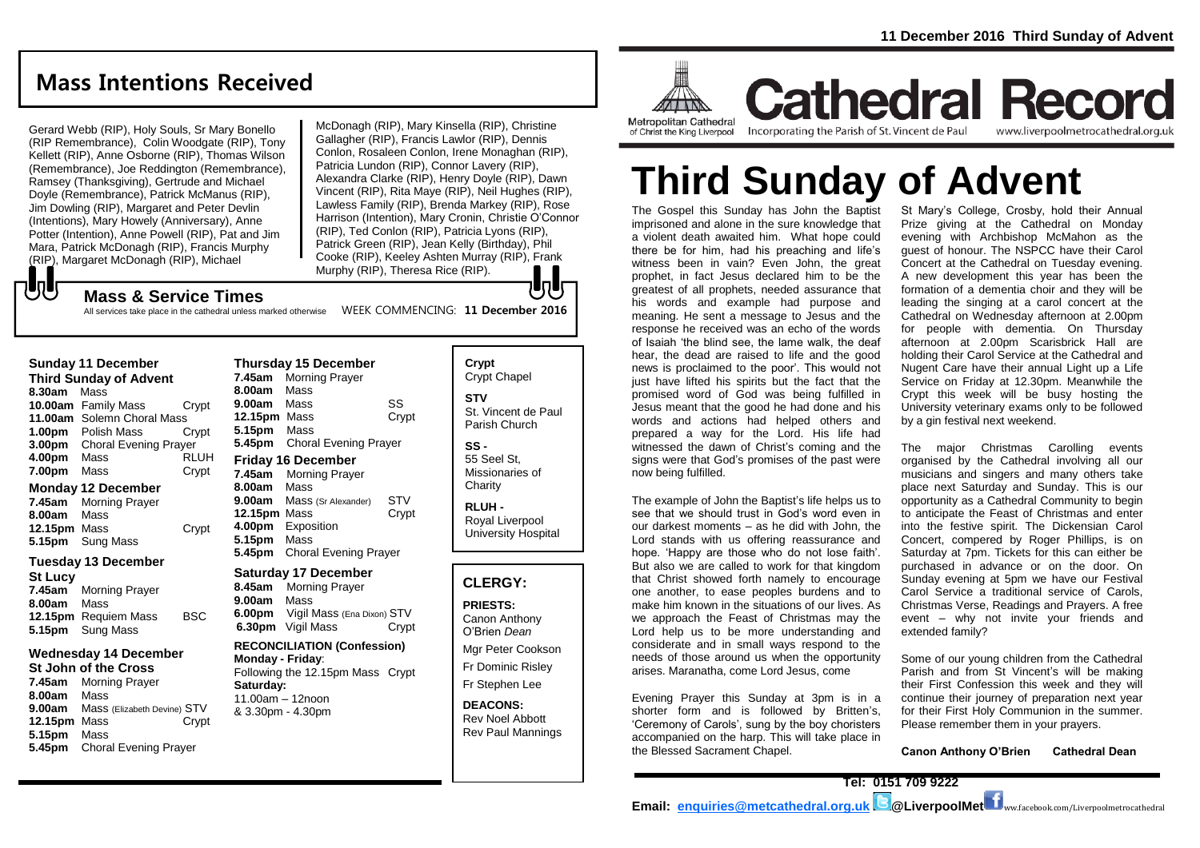## **Mass Intentions Received**

Gerard Webb (RIP), Holy Souls, Sr Mary Bonello (RIP Remembrance), Colin Woodgate (RIP), Tony Kellett (RIP), Anne Osborne (RIP), Thomas Wilson (Remembrance), Joe Reddington (Remembrance), Ramsey (Thanksgiving), Gertrude and Michael Doyle (Remembrance), Patrick McManus (RIP), Jim Dowling (RIP), Margaret and Peter Devlin (Intentions), Mary Howely (Anniversary), Anne Potter (Intention), Anne Powell (RIP), Pat and Jim Mara, Patrick McDonagh (RIP), Francis Murphy (RIP), Margaret McDonagh (RIP), Michael

McDonagh (RIP), Mary Kinsella (RIP), Christine Gallagher (RIP), Francis Lawlor (RIP), Dennis Conlon, Rosaleen Conlon, Irene Monaghan (RIP), Patricia Lundon (RIP), Connor Lavery (RIP), Alexandra Clarke (RIP), Henry Doyle (RIP), Dawn Vincent (RIP), Rita Maye (RIP), Neil Hughes (RIP), Lawless Family (RIP), Brenda Markey (RIP), Rose Harrison (Intention), Mary Cronin, Christie O'Connor (RIP), Ted Conlon (RIP), Patricia Lyons (RIP), Patrick Green (RIP), Jean Kelly (Birthday), Phil Cooke (RIP), Keeley Ashten Murray (RIP), Frank Murphy (RIP), Theresa Rice (RIP). lo l

#### **Mass & Service Times**

All services take place in the cathedral unless marked otherwise WEEK COMMENCING: 11 December 2016

#### **Sunday 11 December**

でし

**Third Sunday of Advent 8.30am** Mass **10.00am** Family Mass Crypt **11.00am** Solemn Choral Mass **1.00pm** Polish Mass Crypt **3.00pm** Choral Evening Prayer **4.00pm** Mass RLUH **7.00pm** Mass Crypt

#### **Monday 12 December**

**7.45am** Morning Prayer **8.00am** Mass **12.15pm** Mass Crypt **5.15pm** Sung Mass

#### **Tuesday 13 December**

**St Lucy 7.45am** Morning Prayer **8.00am** Mass **12.15pm** Requiem Mass BSC **5.15pm** Sung Mass

#### **Wednesday 14 December**

**St John of the Cross 7.45am** Morning Prayer **8.00am** Mass **9.00am** Mass (Elizabeth Devine) STV **12.15pm** Mass Crypt **5.15pm** Mass **5.45pm** Choral Evening Prayer

**Thursday 15 December 7.45am** Morning Prayer **8.00am** Mass **9.00am** Mass SS **12.15pm** Mass Crypt **5.15pm** Mass **5.45pm** Choral Evening Prayer **Friday 16 December 7.45am** Morning Prayer **8.00am** Mass **9.00am** Mass (Sr Alexander) STV **12.15pm** Mass Crypt **4.00pm** Exposition **5.15pm** Mass **5.45pm** Choral Evening Prayer

#### **Saturday 17 December**

**8.45am** Morning Prayer **9.00am** Mass **6.00pm** Vigil Mass (Ena Dixon) STV **6.30pm** Vigil Mass Crypt

#### **RECONCILIATION (Confession)**

**Monday - Friday**: Following the 12.15pm Mass Crypt **Saturday:** 11.00am – 12noon & 3.30pm - 4.30pm

**Crypt**  Crypt Chapel **STV** St. Vincent de Paul Parish Church

**SS -** 55 Seel St, Missionaries of **Charity** 

**RLUH -** Royal Liverpool University Hospital

#### **CLERGY:**

**PRIESTS:** Canon Anthony O'Brien *Dean*

Mgr Peter Cookson Fr Dominic Risley

Fr Stephen Lee

**DEACONS:** Rev Noel Abbott Rev Paul Mannings



of Christ the King Liverpool

**Cathedral Record** Incorporating the Parish of St. Vincent de Paul www.liverpoolmetrocathedral.org.uk

# **Third Sunday of Advent**

The Gospel this Sunday has John the Baptist imprisoned and alone in the sure knowledge that a violent death awaited him. What hope could there be for him, had his preaching and life's witness been in vain? Even John, the great prophet, in fact Jesus declared him to be the greatest of all prophets, needed assurance that his words and example had purpose and meaning. He sent a message to Jesus and the response he received was an echo of the words of Isaiah 'the blind see, the lame walk, the deaf hear, the dead are raised to life and the good news is proclaimed to the poor'. This would not just have lifted his spirits but the fact that the promised word of God was being fulfilled in Jesus meant that the good he had done and his words and actions had helped others and prepared a way for the Lord. His life had witnessed the dawn of Christ's coming and the signs were that God's promises of the past were now being fulfilled.

The example of John the Baptist's life helps us to see that we should trust in God's word even in our darkest moments – as he did with John, the Lord stands with us offering reassurance and hope. 'Happy are those who do not lose faith'. But also we are called to work for that kingdom that Christ showed forth namely to encourage one another, to ease peoples burdens and to make him known in the situations of our lives. As we approach the Feast of Christmas may the Lord help us to be more understanding and considerate and in small ways respond to the needs of those around us when the opportunity arises. Maranatha, come Lord Jesus, come

Evening Prayer this Sunday at 3pm is in a shorter form and is followed by Britten's, 'Ceremony of Carols', sung by the boy choristers accompanied on the harp. This will take place in the Blessed Sacrament Chapel.

St Mary's College, Crosby, hold their Annual Prize giving at the Cathedral on Monday evening with Archbishop McMahon as the guest of honour. The NSPCC have their Carol Concert at the Cathedral on Tuesday evening. A new development this year has been the formation of a dementia choir and they will be leading the singing at a carol concert at the Cathedral on Wednesday afternoon at 2.00pm for people with dementia. On Thursday afternoon at 2.00pm Scarisbrick Hall are holding their Carol Service at the Cathedral and Nugent Care have their annual Light up a Life Service on Friday at 12.30pm. Meanwhile the Crypt this week will be busy hosting the University veterinary exams only to be followed by a gin festival next weekend.

The major Christmas Carolling events organised by the Cathedral involving all our musicians and singers and many others take place next Saturday and Sunday. This is our opportunity as a Cathedral Community to begin to anticipate the Feast of Christmas and enter into the festive spirit. The Dickensian Carol Concert, compered by Roger Phillips, is on Saturday at 7pm. Tickets for this can either be purchased in advance or on the door. On Sunday evening at 5pm we have our Festival Carol Service a traditional service of Carols, Christmas Verse, Readings and Prayers. A free event – why not invite your friends and extended family?

Some of our young children from the Cathedral Parish and from St Vincent's will be making their First Confession this week and they will continue their journey of preparation next year for their First Holy Communion in the summer. Please remember them in your prayers.

**Canon Anthony O'Brien Cathedral Dean**